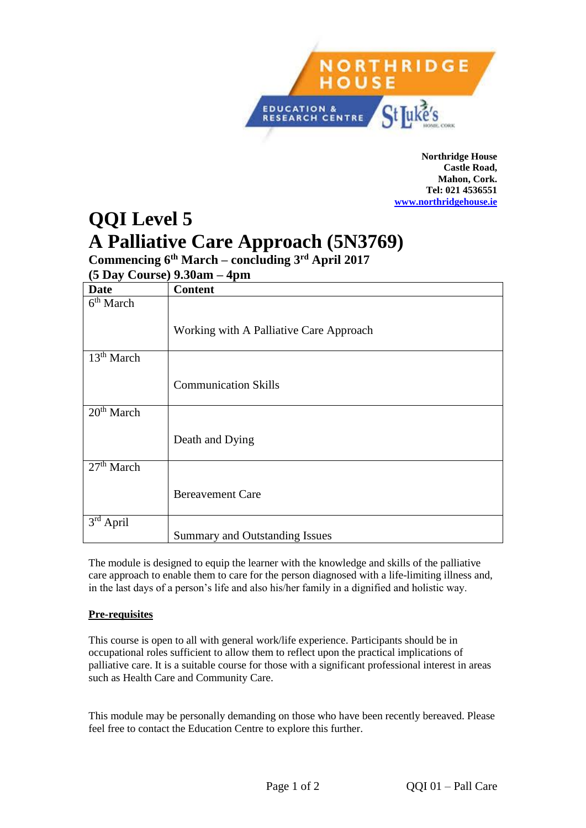

**Northridge House Castle Road, Mahon, Cork. Tel: 021 4536551 <www.northridgehouse.ie>**

# **QQI Level 5 A Palliative Care Approach (5N3769)**

**Commencing 6 th March – concluding 3rd April 2017**

**(5 Day Course) 9.30am – 4pm** 

| <b>Date</b>                         | <b>Content</b>                          |
|-------------------------------------|-----------------------------------------|
| 6 <sup>th</sup> March               |                                         |
|                                     |                                         |
|                                     | Working with A Palliative Care Approach |
|                                     |                                         |
| 13 <sup>th</sup> March              |                                         |
|                                     |                                         |
|                                     | <b>Communication Skills</b>             |
|                                     |                                         |
| 20 <sup>th</sup> March              |                                         |
|                                     |                                         |
|                                     | Death and Dying                         |
|                                     |                                         |
| $\overline{27}$ <sup>th</sup> March |                                         |
|                                     |                                         |
|                                     | <b>Bereavement Care</b>                 |
|                                     |                                         |
| $3rd$ April                         |                                         |
|                                     | Summary and Outstanding Issues          |

The module is designed to equip the learner with the knowledge and skills of the palliative care approach to enable them to care for the person diagnosed with a life-limiting illness and, in the last days of a person's life and also his/her family in a dignified and holistic way.

## **Pre-requisites**

This course is open to all with general work/life experience. Participants should be in occupational roles sufficient to allow them to reflect upon the practical implications of palliative care. It is a suitable course for those with a significant professional interest in areas such as Health Care and Community Care.

This module may be personally demanding on those who have been recently bereaved. Please feel free to contact the Education Centre to explore this further.